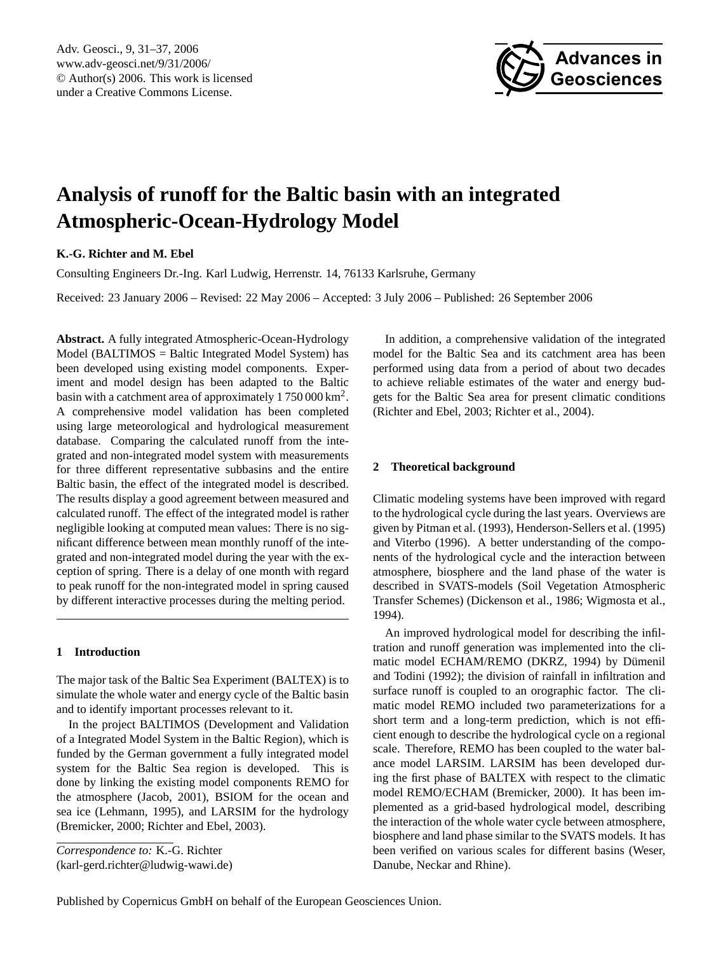Adv. Geosci., 9, 31[–37,](#page-0-0) 2006 www.adv-geosci.net/9/31/2006/ © Author(s) 2006. This work is licensed under a Creative Commons License.



# **Analysis of runoff for the Baltic basin with an integrated Atmospheric-Ocean-Hydrology Model**

## **K.-G. Richter and M. Ebel**

Consulting Engineers Dr.-Ing. Karl Ludwig, Herrenstr. 14, 76133 Karlsruhe, Germany

Received: 23 January 2006 – Revised: 22 May 2006 – Accepted: 3 July 2006 – Published: 26 September 2006

**Abstract.** A fully integrated Atmospheric-Ocean-Hydrology Model (BALTIMOS = Baltic Integrated Model System) has been developed using existing model components. Experiment and model design has been adapted to the Baltic basin with a catchment area of approximately  $1750000 \text{ km}^2$ . A comprehensive model validation has been completed using large meteorological and hydrological measurement database. Comparing the calculated runoff from the integrated and non-integrated model system with measurements for three different representative subbasins and the entire Baltic basin, the effect of the integrated model is described. The results display a good agreement between measured and calculated runoff. The effect of the integrated model is rather negligible looking at computed mean values: There is no significant difference between mean monthly runoff of the integrated and non-integrated model during the year with the exception of spring. There is a delay of one month with regard to peak runoff for the non-integrated model in spring caused by different interactive processes during the melting period.

## **1 Introduction**

The major task of the Baltic Sea Experiment (BALTEX) is to simulate the whole water and energy cycle of the Baltic basin and to identify important processes relevant to it.

In the project BALTIMOS (Development and Validation of a Integrated Model System in the Baltic Region), which is funded by the German government a fully integrated model system for the Baltic Sea region is developed. This is done by linking the existing model components REMO for the atmosphere (Jacob, 2001), BSIOM for the ocean and sea ice (Lehmann, 1995), and LARSIM for the hydrology (Bremicker, 2000; Richter and Ebel, 2003).

<span id="page-0-0"></span>(karl-gerd.richter@ludwig-wawi.de)

In addition, a comprehensive validation of the integrated model for the Baltic Sea and its catchment area has been performed using data from a period of about two decades to achieve reliable estimates of the water and energy budgets for the Baltic Sea area for present climatic conditions (Richter and Ebel, 2003; Richter et al., 2004).

## **2 Theoretical background**

Climatic modeling systems have been improved with regard to the hydrological cycle during the last years. Overviews are given by Pitman et al. (1993), Henderson-Sellers et al. (1995) and Viterbo (1996). A better understanding of the components of the hydrological cycle and the interaction between atmosphere, biosphere and the land phase of the water is described in SVATS-models (Soil Vegetation Atmospheric Transfer Schemes) (Dickenson et al., 1986; Wigmosta et al., 1994).

An improved hydrological model for describing the infiltration and runoff generation was implemented into the climatic model ECHAM/REMO (DKRZ, 1994) by Dümenil and Todini (1992); the division of rainfall in infiltration and surface runoff is coupled to an orographic factor. The climatic model REMO included two parameterizations for a short term and a long-term prediction, which is not efficient enough to describe the hydrological cycle on a regional scale. Therefore, REMO has been coupled to the water balance model LARSIM. LARSIM has been developed during the first phase of BALTEX with respect to the climatic model REMO/ECHAM (Bremicker, 2000). It has been implemented as a grid-based hydrological model, describing the interaction of the whole water cycle between atmosphere, biosphere and land phase similar to the SVATS models. It has been verified on various scales for different basins (Weser, Danube, Neckar and Rhine).

*Correspondence to:* K.-G. Richter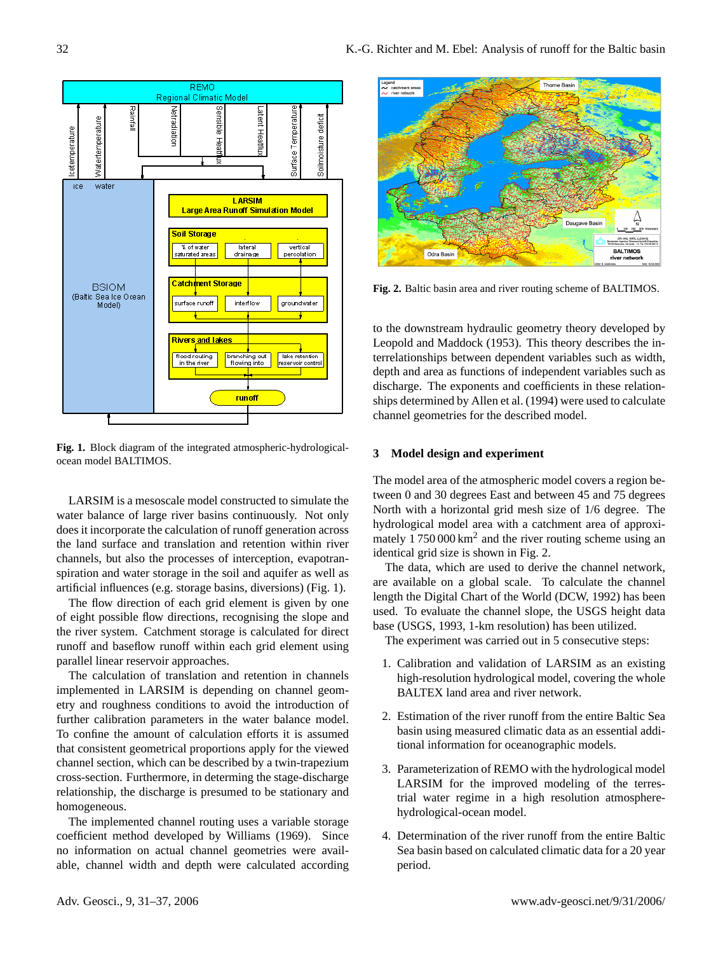

**Fig. 1.** Block diagram of the integrated atmospheric-hydrologicalocean model BALTIMOS.

LARSIM is a mesoscale model constructed to simulate the water balance of large river basins continuously. Not only does it incorporate the calculation of runoff generation across the land surface and translation and retention within river channels, but also the processes of interception, evapotranspiration and water storage in the soil and aquifer as well as artificial influences (e.g. storage basins, diversions) (Fig. 1).

The flow direction of each grid element is given by one of eight possible flow directions, recognising the slope and the river system. Catchment storage is calculated for direct runoff and baseflow runoff within each grid element using parallel linear reservoir approaches.

The calculation of translation and retention in channels implemented in LARSIM is depending on channel geometry and roughness conditions to avoid the introduction of further calibration parameters in the water balance model. To confine the amount of calculation efforts it is assumed that consistent geometrical proportions apply for the viewed channel section, which can be described by a twin-trapezium cross-section. Furthermore, in determing the stage-discharge relationship, the discharge is presumed to be stationary and homogeneous.

The implemented channel routing uses a variable storage coefficient method developed by Williams (1969). Since no information on actual channel geometries were available, channel width and depth were calculated according



**Fig. 2.** Baltic basin area and river routing scheme of BALTIMOS.

to the downstream hydraulic geometry theory developed by Leopold and Maddock (1953). This theory describes the interrelationships between dependent variables such as width, depth and area as functions of independent variables such as discharge. The exponents and coefficients in these relationships determined by Allen et al. (1994) were used to calculate channel geometries for the described model.

## **3 Model design and experiment**

The model area of the atmospheric model covers a region between 0 and 30 degrees East and between 45 and 75 degrees North with a horizontal grid mesh size of 1/6 degree. The hydrological model area with a catchment area of approximately  $1750000 \text{ km}^2$  and the river routing scheme using an identical grid size is shown in Fig. 2.

The data, which are used to derive the channel network, are available on a global scale. To calculate the channel length the Digital Chart of the World (DCW, 1992) has been used. To evaluate the channel slope, the USGS height data base (USGS, 1993, 1-km resolution) has been utilized.

The experiment was carried out in 5 consecutive steps:

- 1. Calibration and validation of LARSIM as an existing high-resolution hydrological model, covering the whole BALTEX land area and river network.
- 2. Estimation of the river runoff from the entire Baltic Sea basin using measured climatic data as an essential additional information for oceanographic models.
- 3. Parameterization of REMO with the hydrological model LARSIM for the improved modeling of the terrestrial water regime in a high resolution atmospherehydrological-ocean model.
- 4. Determination of the river runoff from the entire Baltic Sea basin based on calculated climatic data for a 20 year period.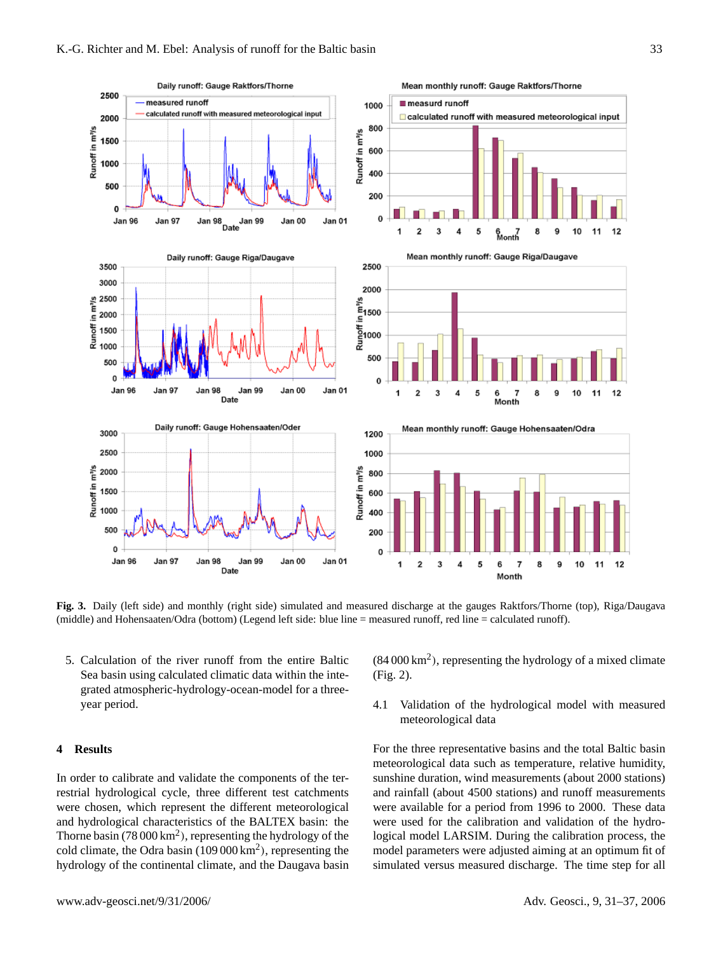

**Fig. 3.** Daily (left side) and monthly (right side) simulated and measured discharge at the gauges Raktfors/Thorne (top), Riga/Daugava (middle) and Hohensaaten/Odra (bottom) (Legend left side: blue line = measured runoff, red line = calculated runoff).

5. Calculation of the river runoff from the entire Baltic Sea basin using calculated climatic data within the integrated atmospheric-hydrology-ocean-model for a threeyear period.

## **4 Results**

In order to calibrate and validate the components of the terrestrial hydrological cycle, three different test catchments were chosen, which represent the different meteorological and hydrological characteristics of the BALTEX basin: the Thorne basin (78 000  $\text{km}^2$ ), representing the hydrology of the cold climate, the Odra basin  $(109 000 \text{ km}^2)$ , representing the hydrology of the continental climate, and the Daugava basin

 $(84000 \text{ km}^2)$ , representing the hydrology of a mixed climate (Fig. 2).

# 4.1 Validation of the hydrological model with measured meteorological data

For the three representative basins and the total Baltic basin meteorological data such as temperature, relative humidity, sunshine duration, wind measurements (about 2000 stations) and rainfall (about 4500 stations) and runoff measurements were available for a period from 1996 to 2000. These data were used for the calibration and validation of the hydrological model LARSIM. During the calibration process, the model parameters were adjusted aiming at an optimum fit of simulated versus measured discharge. The time step for all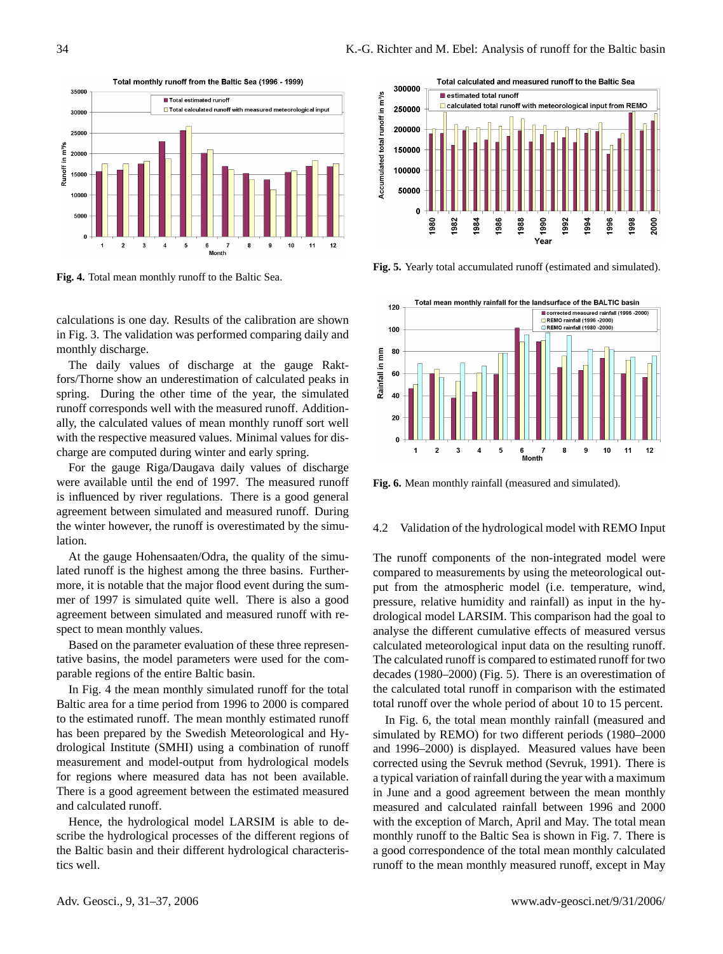

**Fig. 4.** Total mean monthly runoff to the Baltic Sea.

calculations is one day. Results of the calibration are shown in Fig. 3. The validation was performed comparing daily and monthly discharge.

The daily values of discharge at the gauge Raktfors/Thorne show an underestimation of calculated peaks in spring. During the other time of the year, the simulated runoff corresponds well with the measured runoff. Additionally, the calculated values of mean monthly runoff sort well with the respective measured values. Minimal values for discharge are computed during winter and early spring.

For the gauge Riga/Daugava daily values of discharge were available until the end of 1997. The measured runoff is influenced by river regulations. There is a good general agreement between simulated and measured runoff. During the winter however, the runoff is overestimated by the simulation.

At the gauge Hohensaaten/Odra, the quality of the simulated runoff is the highest among the three basins. Furthermore, it is notable that the major flood event during the summer of 1997 is simulated quite well. There is also a good agreement between simulated and measured runoff with respect to mean monthly values.

Based on the parameter evaluation of these three representative basins, the model parameters were used for the comparable regions of the entire Baltic basin.

In Fig. 4 the mean monthly simulated runoff for the total Baltic area for a time period from 1996 to 2000 is compared to the estimated runoff. The mean monthly estimated runoff has been prepared by the Swedish Meteorological and Hydrological Institute (SMHI) using a combination of runoff measurement and model-output from hydrological models for regions where measured data has not been available. There is a good agreement between the estimated measured and calculated runoff.

Hence, the hydrological model LARSIM is able to describe the hydrological processes of the different regions of the Baltic basin and their different hydrological characteristics well.



Fig. 5. Yearly total accumulated runoff (estimated and simulated).



**Fig. 6.** Mean monthly rainfall (measured and simulated).

## 4.2 Validation of the hydrological model with REMO Input

The runoff components of the non-integrated model were compared to measurements by using the meteorological output from the atmospheric model (i.e. temperature, wind, pressure, relative humidity and rainfall) as input in the hydrological model LARSIM. This comparison had the goal to analyse the different cumulative effects of measured versus calculated meteorological input data on the resulting runoff. The calculated runoff is compared to estimated runoff for two decades (1980–2000) (Fig. 5). There is an overestimation of the calculated total runoff in comparison with the estimated total runoff over the whole period of about 10 to 15 percent.

In Fig. 6, the total mean monthly rainfall (measured and simulated by REMO) for two different periods (1980–2000 and 1996–2000) is displayed. Measured values have been corrected using the Sevruk method (Sevruk, 1991). There is a typical variation of rainfall during the year with a maximum in June and a good agreement between the mean monthly measured and calculated rainfall between 1996 and 2000 with the exception of March, April and May. The total mean monthly runoff to the Baltic Sea is shown in Fig. 7. There is a good correspondence of the total mean monthly calculated runoff to the mean monthly measured runoff, except in May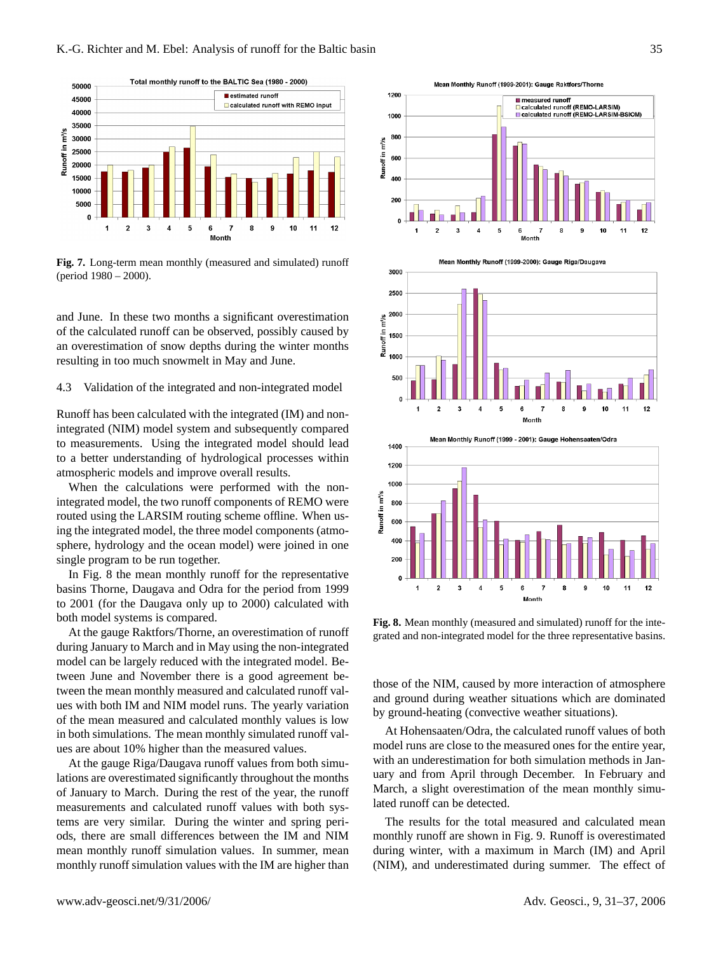

**Fig. 7.** Long-term mean monthly (measured and simulated) runoff (period 1980 – 2000).

and June. In these two months a significant overestimation of the calculated runoff can be observed, possibly caused by an overestimation of snow depths during the winter months resulting in too much snowmelt in May and June.

## 4.3 Validation of the integrated and non-integrated model

Runoff has been calculated with the integrated (IM) and nonintegrated (NIM) model system and subsequently compared to measurements. Using the integrated model should lead to a better understanding of hydrological processes within atmospheric models and improve overall results.

When the calculations were performed with the nonintegrated model, the two runoff components of REMO were routed using the LARSIM routing scheme offline. When using the integrated model, the three model components (atmosphere, hydrology and the ocean model) were joined in one single program to be run together.

In Fig. 8 the mean monthly runoff for the representative basins Thorne, Daugava and Odra for the period from 1999 to 2001 (for the Daugava only up to 2000) calculated with both model systems is compared.

At the gauge Raktfors/Thorne, an overestimation of runoff during January to March and in May using the non-integrated model can be largely reduced with the integrated model. Between June and November there is a good agreement between the mean monthly measured and calculated runoff values with both IM and NIM model runs. The yearly variation of the mean measured and calculated monthly values is low in both simulations. The mean monthly simulated runoff values are about 10% higher than the measured values.

At the gauge Riga/Daugava runoff values from both simulations are overestimated significantly throughout the months of January to March. During the rest of the year, the runoff measurements and calculated runoff values with both systems are very similar. During the winter and spring periods, there are small differences between the IM and NIM mean monthly runoff simulation values. In summer, mean monthly runoff simulation values with the IM are higher than

Mean Monthly Runoff (1999-2001): Gauge Raktfors/Thorne







**Fig. 8.** Mean monthly (measured and simulated) runoff for the integrated and non-integrated model for the three representative basins.

those of the NIM, caused by more interaction of atmosphere and ground during weather situations which are dominated by ground-heating (convective weather situations).

At Hohensaaten/Odra, the calculated runoff values of both model runs are close to the measured ones for the entire year, with an underestimation for both simulation methods in January and from April through December. In February and March, a slight overestimation of the mean monthly simulated runoff can be detected.

The results for the total measured and calculated mean monthly runoff are shown in Fig. 9. Runoff is overestimated during winter, with a maximum in March (IM) and April (NIM), and underestimated during summer. The effect of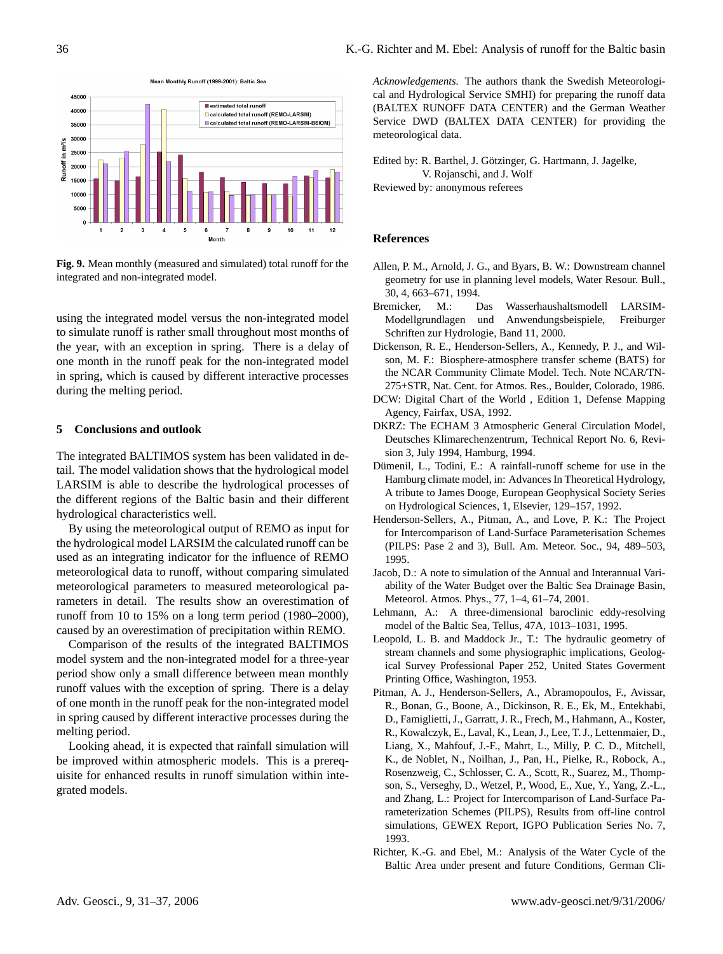

**Fig. 9.** Mean monthly (measured and simulated) total runoff for the integrated and non-integrated model.

using the integrated model versus the non-integrated model to simulate runoff is rather small throughout most months of the year, with an exception in spring. There is a delay of one month in the runoff peak for the non-integrated model in spring, which is caused by different interactive processes during the melting period.

### **5 Conclusions and outlook**

The integrated BALTIMOS system has been validated in detail. The model validation shows that the hydrological model LARSIM is able to describe the hydrological processes of the different regions of the Baltic basin and their different hydrological characteristics well.

By using the meteorological output of REMO as input for the hydrological model LARSIM the calculated runoff can be used as an integrating indicator for the influence of REMO meteorological data to runoff, without comparing simulated meteorological parameters to measured meteorological parameters in detail. The results show an overestimation of runoff from 10 to 15% on a long term period (1980–2000), caused by an overestimation of precipitation within REMO.

Comparison of the results of the integrated BALTIMOS model system and the non-integrated model for a three-year period show only a small difference between mean monthly runoff values with the exception of spring. There is a delay of one month in the runoff peak for the non-integrated model in spring caused by different interactive processes during the melting period.

Looking ahead, it is expected that rainfall simulation will be improved within atmospheric models. This is a prerequisite for enhanced results in runoff simulation within integrated models.

*Acknowledgements.* The authors thank the Swedish Meteorological and Hydrological Service SMHI) for preparing the runoff data (BALTEX RUNOFF DATA CENTER) and the German Weather Service DWD (BALTEX DATA CENTER) for providing the meteorological data.

Edited by: R. Barthel, J. Götzinger, G. Hartmann, J. Jagelke, V. Rojanschi, and J. Wolf

Reviewed by: anonymous referees

## **References**

- Allen, P. M., Arnold, J. G., and Byars, B. W.: Downstream channel geometry for use in planning level models, Water Resour. Bull., 30, 4, 663–671, 1994.
- Bremicker, M.: Das Wasserhaushaltsmodell LARSIM-Modellgrundlagen und Anwendungsbeispiele, Freiburger Schriften zur Hydrologie, Band 11, 2000.
- Dickenson, R. E., Henderson-Sellers, A., Kennedy, P. J., and Wilson, M. F.: Biosphere-atmosphere transfer scheme (BATS) for the NCAR Community Climate Model. Tech. Note NCAR/TN-275+STR, Nat. Cent. for Atmos. Res., Boulder, Colorado, 1986.
- DCW: Digital Chart of the World , Edition 1, Defense Mapping Agency, Fairfax, USA, 1992.
- DKRZ: The ECHAM 3 Atmospheric General Circulation Model, Deutsches Klimarechenzentrum, Technical Report No. 6, Revision 3, July 1994, Hamburg, 1994.
- Dümenil, L., Todini, E.: A rainfall-runoff scheme for use in the Hamburg climate model, in: Advances In Theoretical Hydrology, A tribute to James Dooge, European Geophysical Society Series on Hydrological Sciences, 1, Elsevier, 129–157, 1992.
- Henderson-Sellers, A., Pitman, A., and Love, P. K.: The Project for Intercomparison of Land-Surface Parameterisation Schemes (PILPS: Pase 2 and 3), Bull. Am. Meteor. Soc., 94, 489–503, 1995.
- Jacob, D.: A note to simulation of the Annual and Interannual Variability of the Water Budget over the Baltic Sea Drainage Basin, Meteorol. Atmos. Phys., 77, 1–4, 61–74, 2001.
- Lehmann, A.: A three-dimensional baroclinic eddy-resolving model of the Baltic Sea, Tellus, 47A, 1013–1031, 1995.
- Leopold, L. B. and Maddock Jr., T.: The hydraulic geometry of stream channels and some physiographic implications, Geological Survey Professional Paper 252, United States Goverment Printing Office, Washington, 1953.
- Pitman, A. J., Henderson-Sellers, A., Abramopoulos, F., Avissar, R., Bonan, G., Boone, A., Dickinson, R. E., Ek, M., Entekhabi, D., Famiglietti, J., Garratt, J. R., Frech, M., Hahmann, A., Koster, R., Kowalczyk, E., Laval, K., Lean, J., Lee, T. J., Lettenmaier, D., Liang, X., Mahfouf, J.-F., Mahrt, L., Milly, P. C. D., Mitchell, K., de Noblet, N., Noilhan, J., Pan, H., Pielke, R., Robock, A., Rosenzweig, C., Schlosser, C. A., Scott, R., Suarez, M., Thompson, S., Verseghy, D., Wetzel, P., Wood, E., Xue, Y., Yang, Z.-L., and Zhang, L.: Project for Intercomparison of Land-Surface Parameterization Schemes (PILPS), Results from off-line control simulations, GEWEX Report, IGPO Publication Series No. 7, 1993.
- Richter, K.-G. and Ebel, M.: Analysis of the Water Cycle of the Baltic Area under present and future Conditions, German Cli-